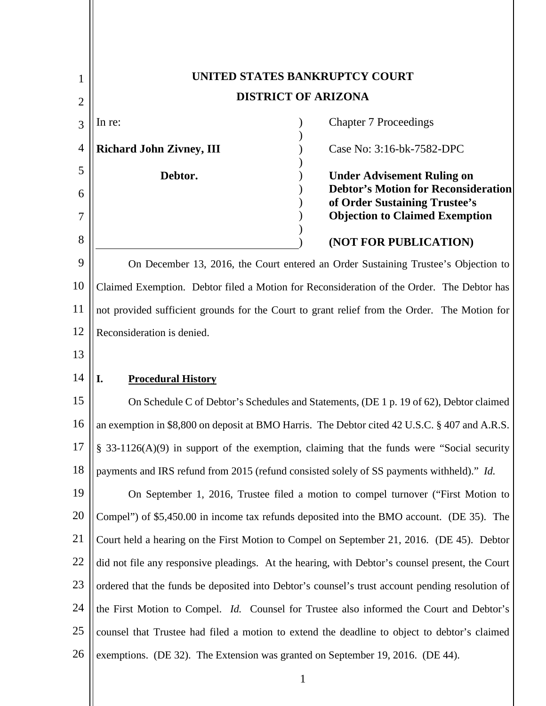| 1              | UNITED STATES BANKRUPTCY COURT                                                                  |                                                                                   |  |
|----------------|-------------------------------------------------------------------------------------------------|-----------------------------------------------------------------------------------|--|
| $\overline{2}$ | <b>DISTRICT OF ARIZONA</b>                                                                      |                                                                                   |  |
| 3              | In re:                                                                                          | <b>Chapter 7 Proceedings</b>                                                      |  |
| $\overline{4}$ | <b>Richard John Zivney, III</b>                                                                 | Case No: 3:16-bk-7582-DPC                                                         |  |
| 5              | Debtor.                                                                                         | <b>Under Advisement Ruling on</b>                                                 |  |
| 6              |                                                                                                 | <b>Debtor's Motion for Reconsideration</b><br>of Order Sustaining Trustee's       |  |
| 7              |                                                                                                 | <b>Objection to Claimed Exemption</b>                                             |  |
| 8              |                                                                                                 | (NOT FOR PUBLICATION)                                                             |  |
| 9              | On December 13, 2016, the Court entered an Order Sustaining Trustee's Objection to              |                                                                                   |  |
| 10             | Claimed Exemption. Debtor filed a Motion for Reconsideration of the Order. The Debtor has       |                                                                                   |  |
| 11             | not provided sufficient grounds for the Court to grant relief from the Order. The Motion for    |                                                                                   |  |
| 12             | Reconsideration is denied.                                                                      |                                                                                   |  |
| 13             |                                                                                                 |                                                                                   |  |
| 14             | I.<br><b>Procedural History</b>                                                                 |                                                                                   |  |
| 15             | On Schedule C of Debtor's Schedules and Statements, (DE 1 p. 19 of 62), Debtor claimed          |                                                                                   |  |
| 16             | an exemption in \$8,800 on deposit at BMO Harris. The Debtor cited 42 U.S.C. § 407 and A.R.S.   |                                                                                   |  |
| 17             | § 33-1126(A)(9) in support of the exemption, claiming that the funds were "Social security      |                                                                                   |  |
| 18             | payments and IRS refund from 2015 (refund consisted solely of SS payments withheld)." Id.       |                                                                                   |  |
| 19             |                                                                                                 | On September 1, 2016, Trustee filed a motion to compel turnover ("First Motion to |  |
| 20             | Compel") of \$5,450.00 in income tax refunds deposited into the BMO account. (DE 35). The       |                                                                                   |  |
| 21             | Court held a hearing on the First Motion to Compel on September 21, 2016. (DE 45). Debtor       |                                                                                   |  |
| 22             | did not file any responsive pleadings. At the hearing, with Debtor's counsel present, the Court |                                                                                   |  |
| 23             | ordered that the funds be deposited into Debtor's counsel's trust account pending resolution of |                                                                                   |  |
| 24             | the First Motion to Compel. <i>Id.</i> Counsel for Trustee also informed the Court and Debtor's |                                                                                   |  |
| 25             | counsel that Trustee had filed a motion to extend the deadline to object to debtor's claimed    |                                                                                   |  |
| 26             | exemptions. (DE 32). The Extension was granted on September 19, 2016. (DE 44).                  |                                                                                   |  |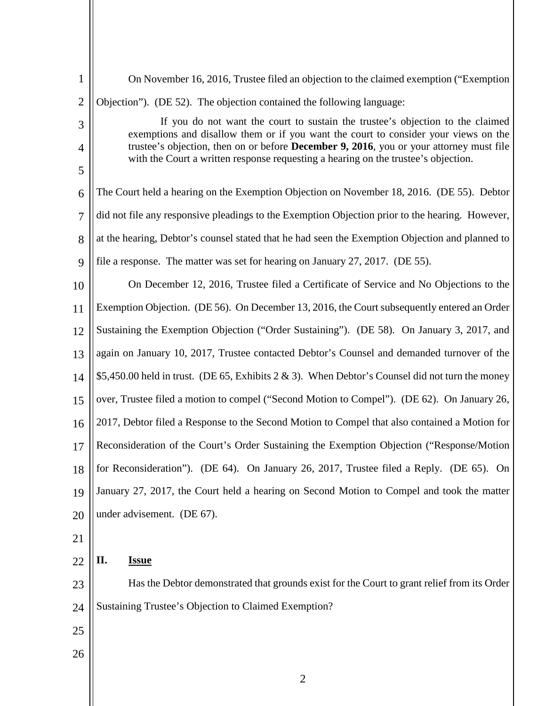| $\mathbf{1}$        | On November 16, 2016, Trustee filed an objection to the claimed exemption ("Exemption")                                                                                               |  |
|---------------------|---------------------------------------------------------------------------------------------------------------------------------------------------------------------------------------|--|
| $\overline{2}$      | Objection"). (DE 52). The objection contained the following language:                                                                                                                 |  |
| 3                   | If you do not want the court to sustain the trustee's objection to the claimed<br>exemptions and disallow them or if you want the court to consider your views on the                 |  |
| $\overline{4}$<br>5 | trustee's objection, then on or before <b>December 9, 2016</b> , you or your attorney must file<br>with the Court a written response requesting a hearing on the trustee's objection. |  |
|                     |                                                                                                                                                                                       |  |
| 6                   | The Court held a hearing on the Exemption Objection on November 18, 2016. (DE 55). Debtor                                                                                             |  |
| $\overline{7}$      | did not file any responsive pleadings to the Exemption Objection prior to the hearing. However,                                                                                       |  |
| 8                   | at the hearing, Debtor's counsel stated that he had seen the Exemption Objection and planned to                                                                                       |  |
| 9                   | file a response. The matter was set for hearing on January 27, 2017. (DE 55).                                                                                                         |  |
| 10                  | On December 12, 2016, Trustee filed a Certificate of Service and No Objections to the                                                                                                 |  |
| 11                  | Exemption Objection. (DE 56). On December 13, 2016, the Court subsequently entered an Order                                                                                           |  |
| 12                  | Sustaining the Exemption Objection ("Order Sustaining"). (DE 58). On January 3, 2017, and                                                                                             |  |
| 13                  | again on January 10, 2017, Trustee contacted Debtor's Counsel and demanded turnover of the                                                                                            |  |
| 14                  | \$5,450.00 held in trust. (DE 65, Exhibits $2 \& 3$ ). When Debtor's Counsel did not turn the money                                                                                   |  |
| 15                  | over, Trustee filed a motion to compel ("Second Motion to Compel"). (DE 62). On January 26,                                                                                           |  |
| 16                  | 2017, Debtor filed a Response to the Second Motion to Compel that also contained a Motion for                                                                                         |  |
| 17                  | Reconsideration of the Court's Order Sustaining the Exemption Objection ("Response/Motion"                                                                                            |  |
| 18                  | for Reconsideration"). (DE 64). On January 26, 2017, Trustee filed a Reply. (DE 65). On                                                                                               |  |
| 19                  | January 27, 2017, the Court held a hearing on Second Motion to Compel and took the matter                                                                                             |  |
| 20                  | under advisement. (DE 67).                                                                                                                                                            |  |
| 21                  |                                                                                                                                                                                       |  |
| 22                  | II.<br><b>Issue</b>                                                                                                                                                                   |  |
| 23                  | Has the Debtor demonstrated that grounds exist for the Court to grant relief from its Order                                                                                           |  |
| 24                  | Sustaining Trustee's Objection to Claimed Exemption?                                                                                                                                  |  |
| 25                  |                                                                                                                                                                                       |  |
| 26                  |                                                                                                                                                                                       |  |
|                     | $\overline{2}$                                                                                                                                                                        |  |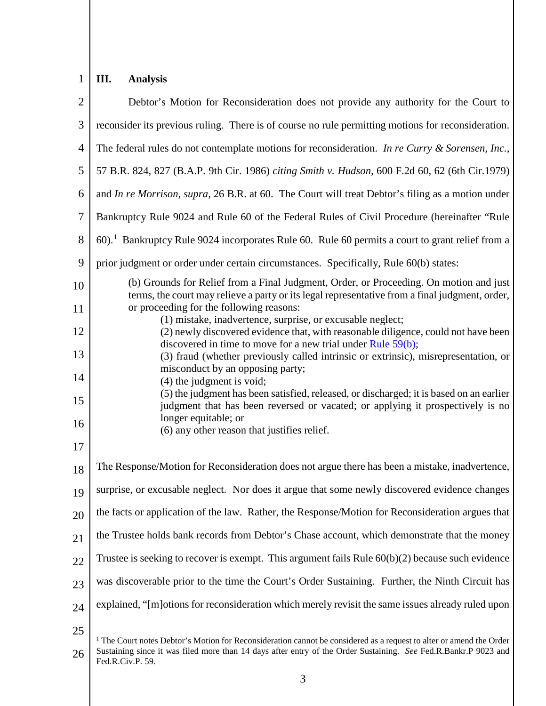## 1 **III. Analysis**

| $\overline{2}$ | Debtor's Motion for Reconsideration does not provide any authority for the Court to                                                                                                      |
|----------------|------------------------------------------------------------------------------------------------------------------------------------------------------------------------------------------|
| 3              | reconsider its previous ruling. There is of course no rule permitting motions for reconsideration.                                                                                       |
| $\overline{4}$ | The federal rules do not contemplate motions for reconsideration. In re Curry & Sorensen, Inc.,                                                                                          |
| 5              | 57 B.R. 824, 827 (B.A.P. 9th Cir. 1986) citing Smith v. Hudson, 600 F.2d 60, 62 (6th Cir.1979)                                                                                           |
| 6              | and In re Morrison, supra, 26 B.R. at 60. The Court will treat Debtor's filing as a motion under                                                                                         |
| 7              | Bankruptcy Rule 9024 and Rule 60 of the Federal Rules of Civil Procedure (hereinafter "Rule                                                                                              |
| 8              | 60). <sup>1</sup> Bankruptcy Rule 9024 incorporates Rule 60. Rule 60 permits a court to grant relief from a                                                                              |
| 9              | prior judgment or order under certain circumstances. Specifically, Rule 60(b) states:                                                                                                    |
| 10             | (b) Grounds for Relief from a Final Judgment, Order, or Proceeding. On motion and just<br>terms, the court may relieve a party or its legal representative from a final judgment, order, |
| 11             | or proceeding for the following reasons:<br>(1) mistake, inadvertence, surprise, or excusable neglect;                                                                                   |
| 12             | (2) newly discovered evidence that, with reasonable diligence, could not have been<br>discovered in time to move for a new trial under Rule $59(b)$ ;                                    |
| 13             | (3) fraud (whether previously called intrinsic or extrinsic), misrepresentation, or<br>misconduct by an opposing party;                                                                  |
| 14             | $(4)$ the judgment is void;<br>(5) the judgment has been satisfied, released, or discharged; it is based on an earlier                                                                   |
| 15             | judgment that has been reversed or vacated; or applying it prospectively is no                                                                                                           |
| 16             | longer equitable; or<br>(6) any other reason that justifies relief.                                                                                                                      |
| 17             |                                                                                                                                                                                          |
| 18             | The Response/Motion for Reconsideration does not argue there has been a mistake, inadvertence,                                                                                           |
| 19             | surprise, or excusable neglect. Nor does it argue that some newly discovered evidence changes                                                                                            |
| 20             | the facts or application of the law. Rather, the Response/Motion for Reconsideration argues that                                                                                         |
| 21             | the Trustee holds bank records from Debtor's Chase account, which demonstrate that the money                                                                                             |
| 22             | Trustee is seeking to recover is exempt. This argument fails Rule $60(b)(2)$ because such evidence                                                                                       |
| 23             | was discoverable prior to the time the Court's Order Sustaining. Further, the Ninth Circuit has                                                                                          |
| 24             | explained, "[m]otions for reconsideration which merely revisit the same issues already ruled upon                                                                                        |
| 25             |                                                                                                                                                                                          |

<sup>26</sup>

 $1$ <sup>1</sup> The Court notes Debtor's Motion for Reconsideration cannot be considered as a request to alter or amend the Order Sustaining since it was filed more than 14 days after entry of the Order Sustaining. *See* Fed.R.Bankr.P 9023 and Fed.R.Civ.P. 59.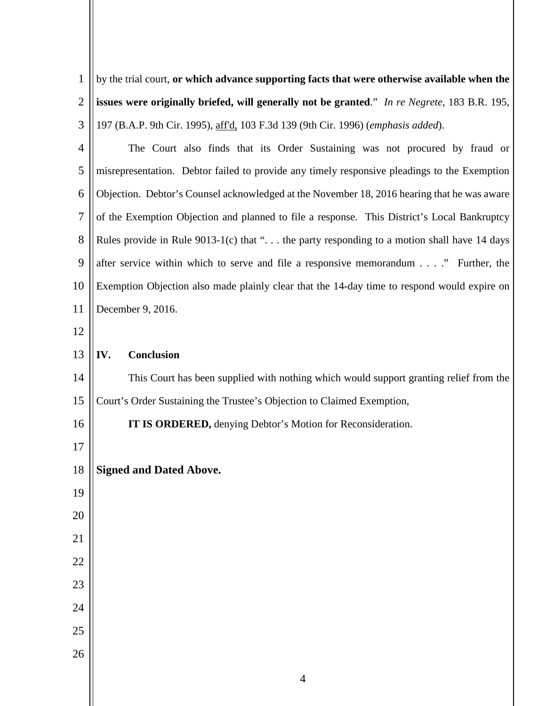| $\mathbf{1}$   | by the trial court, or which advance supporting facts that were otherwise available when the |  |
|----------------|----------------------------------------------------------------------------------------------|--|
| $\overline{2}$ | issues were originally briefed, will generally not be granted." In re Negrete, 183 B.R. 195, |  |
| 3              | 197 (B.A.P. 9th Cir. 1995), aff'd, 103 F.3d 139 (9th Cir. 1996) (emphasis added).            |  |
| $\overline{4}$ | The Court also finds that its Order Sustaining was not procured by fraud or                  |  |
| 5              | misrepresentation. Debtor failed to provide any timely responsive pleadings to the Exemption |  |
| 6              | Objection. Debtor's Counsel acknowledged at the November 18, 2016 hearing that he was aware  |  |
| 7              | of the Exemption Objection and planned to file a response. This District's Local Bankruptcy  |  |
| 8              | Rules provide in Rule $9013-1(c)$ that " the party responding to a motion shall have 14 days |  |
| 9              | after service within which to serve and file a responsive memorandum" Further, the           |  |
| 10             | Exemption Objection also made plainly clear that the 14-day time to respond would expire on  |  |
| 11             | December 9, 2016.                                                                            |  |
| 12             |                                                                                              |  |
| 13             | <b>Conclusion</b><br>IV.                                                                     |  |
| 14             | This Court has been supplied with nothing which would support granting relief from the       |  |
| 15             | Court's Order Sustaining the Trustee's Objection to Claimed Exemption,                       |  |
| 16             | <b>IT IS ORDERED,</b> denying Debtor's Motion for Reconsideration.                           |  |
| 17             |                                                                                              |  |
| 18             | <b>Signed and Dated Above.</b>                                                               |  |
| 19             |                                                                                              |  |
| 20             |                                                                                              |  |
| 21             |                                                                                              |  |
| 22             |                                                                                              |  |
| 23             |                                                                                              |  |
| 24             |                                                                                              |  |
| 25             |                                                                                              |  |
| 26             |                                                                                              |  |
|                | $\overline{4}$                                                                               |  |